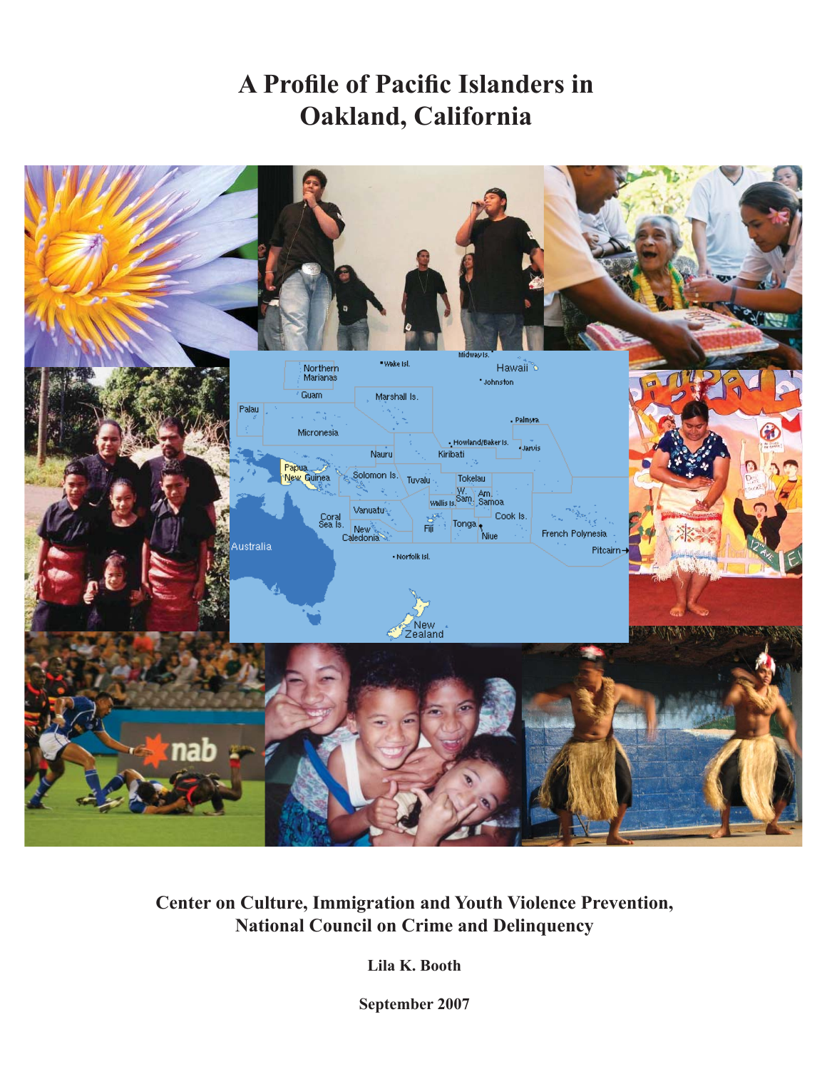# **A Profile of Pacific Islanders in Oakland, California**



**Center on Culture, Immigration and Youth Violence Prevention, National Council on Crime and Delinquency**

**Lila K. Booth**

**September 2007**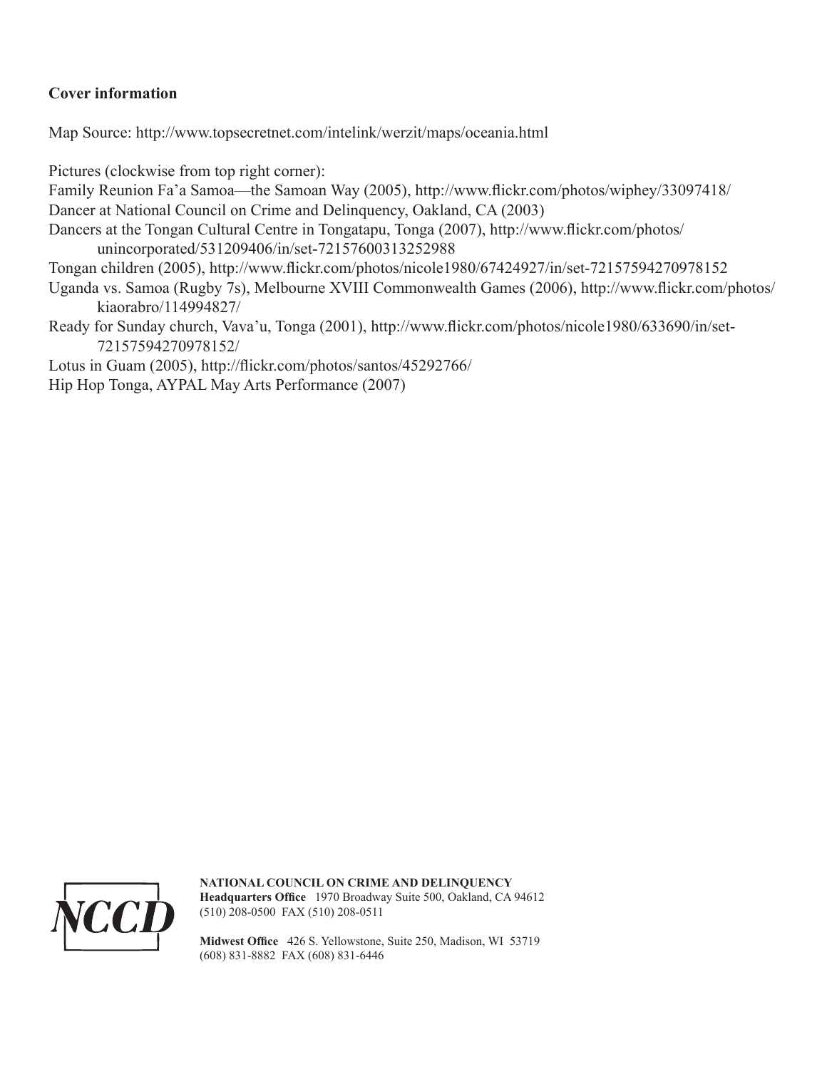## **Cover information**

Map Source: http://www.topsecretnet.com/intelink/werzit/maps/oceania.html

Pictures (clockwise from top right corner):

Family Reunion Fa'a Samoa—the Samoan Way (2005), http://www.flickr.com/photos/wiphey/33097418/

Dancer at National Council on Crime and Delinquency, Oakland, CA (2003)

Dancers at the Tongan Cultural Centre in Tongatapu, Tonga (2007), http://www.flickr.com/photos/ unincorporated/531209406/in/set-72157600313252988

Tongan children (2005), http://www.flickr.com/photos/nicole1980/67424927/in/set-72157594270978152

- Uganda vs. Samoa (Rugby 7s), Melbourne XVIII Commonwealth Games (2006), http://www.flickr.com/photos/ kiaorabro/114994827/
- Ready for Sunday church, Vava'u, Tonga (2001), http://www.flickr.com/photos/nicole1980/633690/in/set-72157594270978152/

Lotus in Guam (2005), http://flickr.com/photos/santos/45292766/

Hip Hop Tonga, AYPAL May Arts Performance (2007)



**NATIONAL COUNCIL ON CRIME AND DELINQUENCY** Headquarters Office 1970 Broadway Suite 500, Oakland, CA 94612 (510) 208-0500 FAX (510) 208-0511

Midwest Office 426 S. Yellowstone, Suite 250, Madison, WI 53719 (608) 831-8882 FAX (608) 831-6446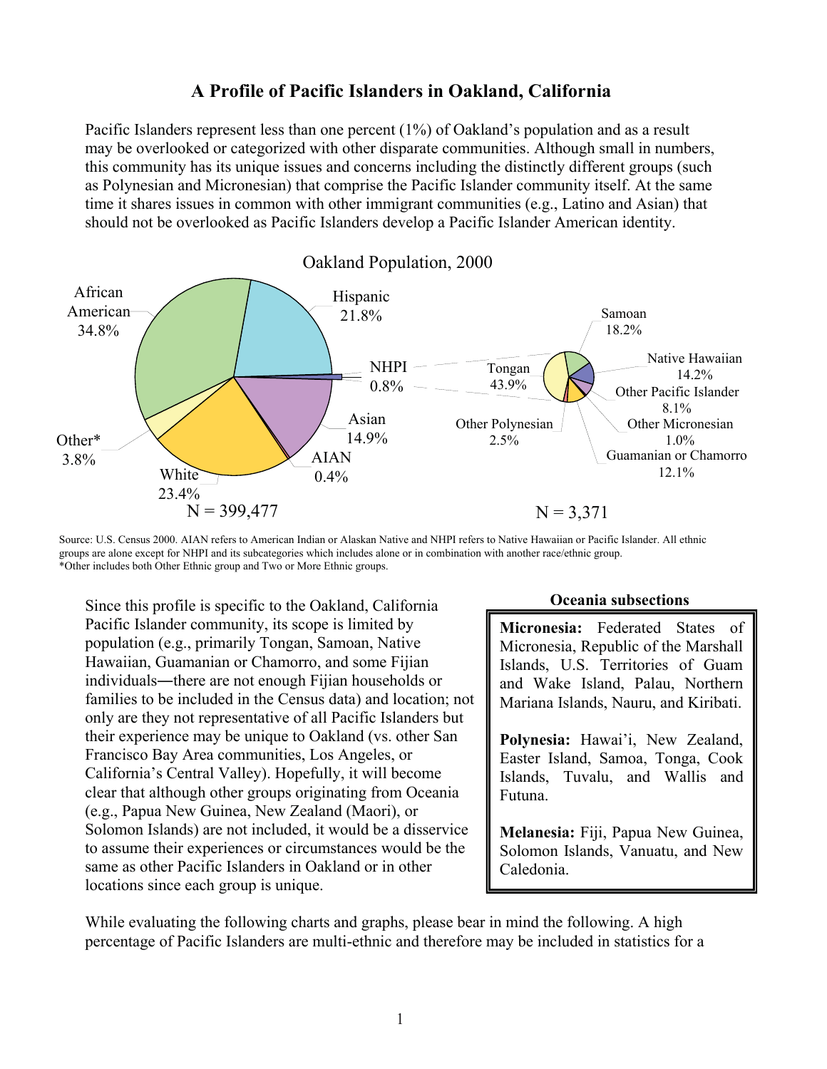# **A Profile of Pacific Islanders in Oakland, California**

Pacific Islanders represent less than one percent (1%) of Oakland's population and as a result may be overlooked or categorized with other disparate communities. Although small in numbers, this community has its unique issues and concerns including the distinctly different groups (such as Polynesian and Micronesian) that comprise the Pacific Islander community itself. At the same time it shares issues in common with other immigrant communities (e.g., Latino and Asian) that should not be overlooked as Pacific Islanders develop a Pacific Islander American identity.



Source: U.S. Census 2000. AIAN refers to American Indian or Alaskan Native and NHPI refers to Native Hawaiian or Pacific Islander. All ethnic groups are alone except for NHPI and its subcategories which includes alone or in combination with another race/ethnic group. \*Other includes both Other Ethnic group and Two or More Ethnic groups.

Since this profile is specific to the Oakland, California Pacific Islander community, its scope is limited by population (e.g., primarily Tongan, Samoan, Native Hawaiian, Guamanian or Chamorro, and some Fijian individuals—there are not enough Fijian households or families to be included in the Census data) and location; not only are they not representative of all Pacific Islanders but their experience may be unique to Oakland (vs. other San Francisco Bay Area communities, Los Angeles, or California's Central Valley). Hopefully, it will become clear that although other groups originating from Oceania (e.g., Papua New Guinea, New Zealand (Maori), or Solomon Islands) are not included, it would be a disservice to assume their experiences or circumstances would be the same as other Pacific Islanders in Oakland or in other locations since each group is unique.

#### **Oceania subsections**

**Micronesia:** Federated States of Micronesia, Republic of the Marshall Islands, U.S. Territories of Guam and Wake Island, Palau, Northern Mariana Islands, Nauru, and Kiribati.

**Polynesia:** Hawai'i, New Zealand, Easter Island, Samoa, Tonga, Cook Islands, Tuvalu, and Wallis and Futuna.

**Melanesia:** Fiji, Papua New Guinea, Solomon Islands, Vanuatu, and New Caledonia.

While evaluating the following charts and graphs, please bear in mind the following. A high percentage of Pacific Islanders are multi-ethnic and therefore may be included in statistics for a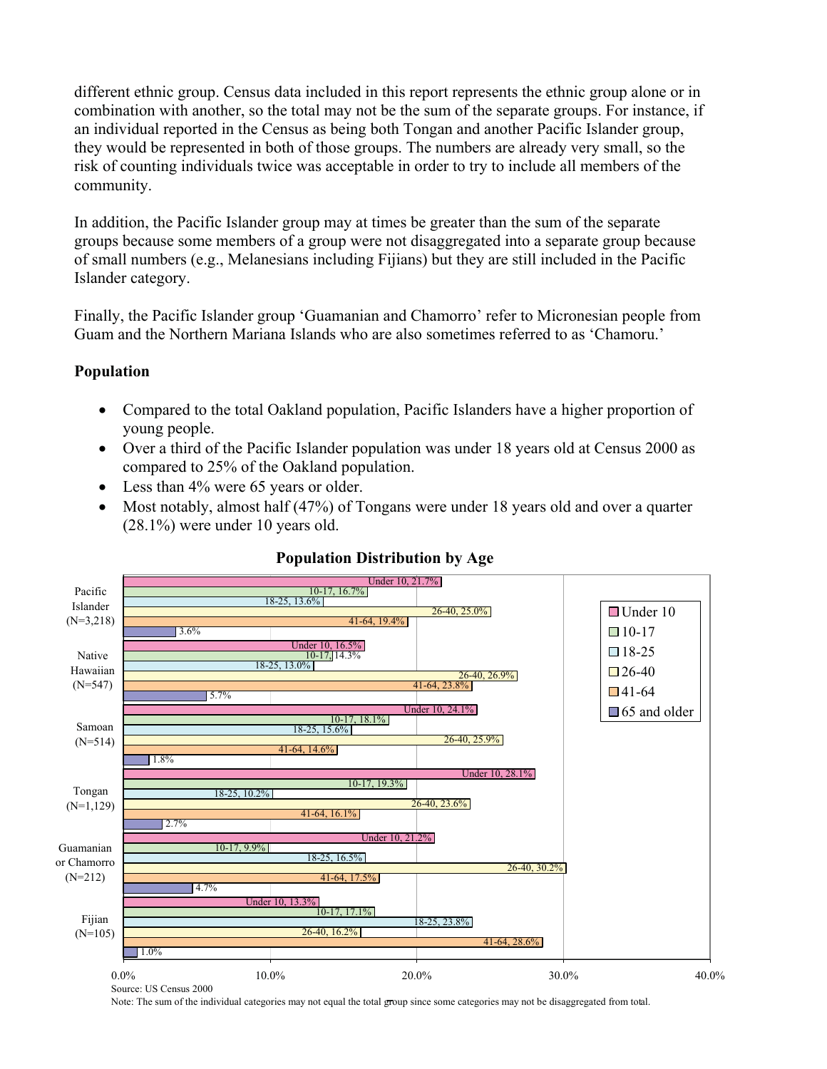different ethnic group. Census data included in this report represents the ethnic group alone or in combination with another, so the total may not be the sum of the separate groups. For instance, if an individual reported in the Census as being both Tongan and another Pacific Islander group, they would be represented in both of those groups. The numbers are already very small, so the risk of counting individuals twice was acceptable in order to try to include all members of the community.

In addition, the Pacific Islander group may at times be greater than the sum of the separate groups because some members of a group were not disaggregated into a separate group because of small numbers (e.g., Melanesians including Fijians) but they are still included in the Pacific Islander category.

Finally, the Pacific Islander group 'Guamanian and Chamorro' refer to Micronesian people from Guam and the Northern Mariana Islands who are also sometimes referred to as 'Chamoru.'

### **Population**

- ! Compared to the total Oakland population, Pacific Islanders have a higher proportion of young people.
- Over a third of the Pacific Islander population was under 18 years old at Census 2000 as compared to 25% of the Oakland population.
- Less than 4% were 65 years or older.
- Most notably, almost half (47%) of Tongans were under 18 years old and over a quarter (28.1%) were under 10 years old.



#### **Population Distribution by Age**

2 Note: The sum of the individual categories may not equal the total group since some categories may not be disaggregated from total.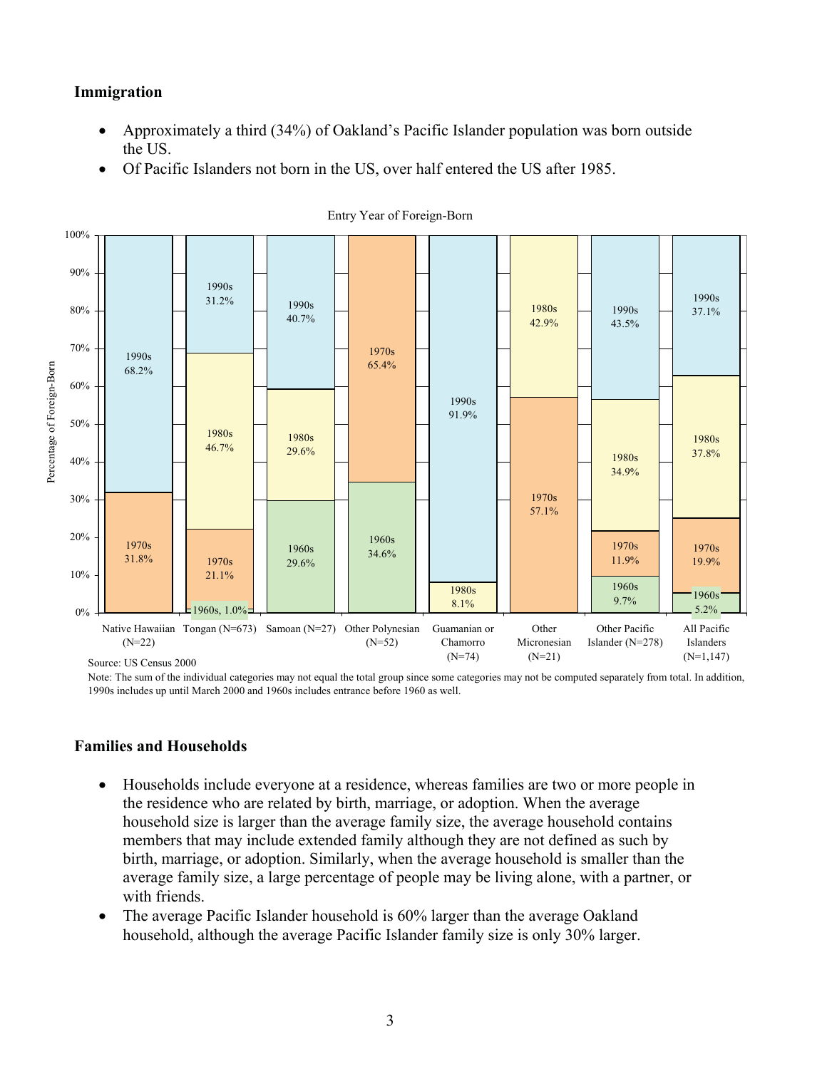#### **Immigration**

- ! Approximately a third (34%) of Oakland's Pacific Islander population was born outside the US.
- ! Of Pacific Islanders not born in the US, over half entered the US after 1985.



Entry Year of Foreign-Born

Note: The sum of the individual categories may not equal the total group since some categories may not be computed separately from total. In addition, 1990s includes up until March 2000 and 1960s includes entrance before 1960 as well.

#### **Families and Households**

- ! Households include everyone at a residence, whereas families are two or more people in the residence who are related by birth, marriage, or adoption. When the average household size is larger than the average family size, the average household contains members that may include extended family although they are not defined as such by birth, marriage, or adoption. Similarly, when the average household is smaller than the average family size, a large percentage of people may be living alone, with a partner, or with friends.
- ! The average Pacific Islander household is 60% larger than the average Oakland household, although the average Pacific Islander family size is only 30% larger.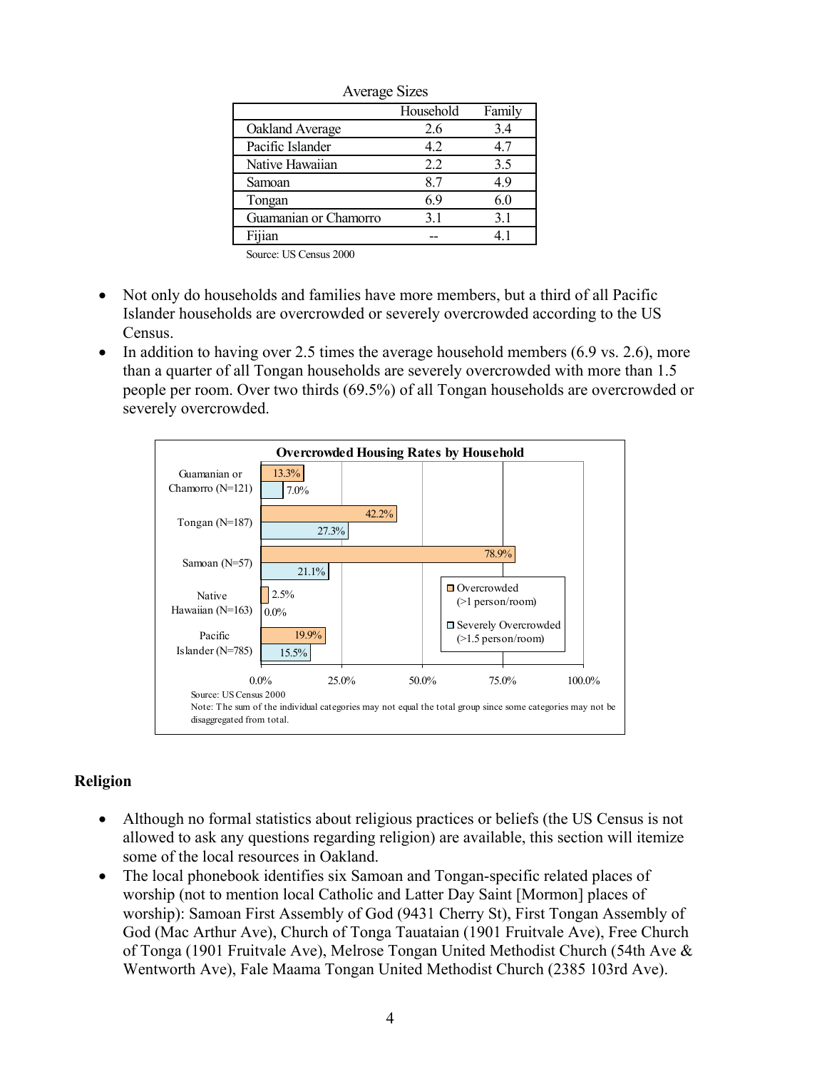| $\cdots$              |           |        |
|-----------------------|-----------|--------|
|                       | Household | Family |
| Oakland Average       | 2.6       | 3.4    |
| Pacific Islander      | 4.2       | 4.7    |
| Native Hawaiian       | 2.2       | 3.5    |
| Samoan                | 8.7       | 49     |
| Tongan                | 69        | 6.0    |
| Guamanian or Chamorro | 31        | 3.1    |
| Fijian                |           | 41     |

Average Sizes

Source: US Census 2000

- ! Not only do households and families have more members, but a third of all Pacific Islander households are overcrowded or severely overcrowded according to the US Census.
- $\bullet$  In addition to having over 2.5 times the average household members (6.9 vs. 2.6), more than a quarter of all Tongan households are severely overcrowded with more than 1.5 people per room. Over two thirds (69.5%) of all Tongan households are overcrowded or severely overcrowded.



## **Religion**

- Although no formal statistics about religious practices or beliefs (the US Census is not allowed to ask any questions regarding religion) are available, this section will itemize some of the local resources in Oakland.
- ! The local phonebook identifies six Samoan and Tongan-specific related places of worship (not to mention local Catholic and Latter Day Saint [Mormon] places of worship): Samoan First Assembly of God (9431 Cherry St), First Tongan Assembly of God (Mac Arthur Ave), Church of Tonga Tauataian (1901 Fruitvale Ave), Free Church of Tonga (1901 Fruitvale Ave), Melrose Tongan United Methodist Church (54th Ave & Wentworth Ave), Fale Maama Tongan United Methodist Church (2385 103rd Ave).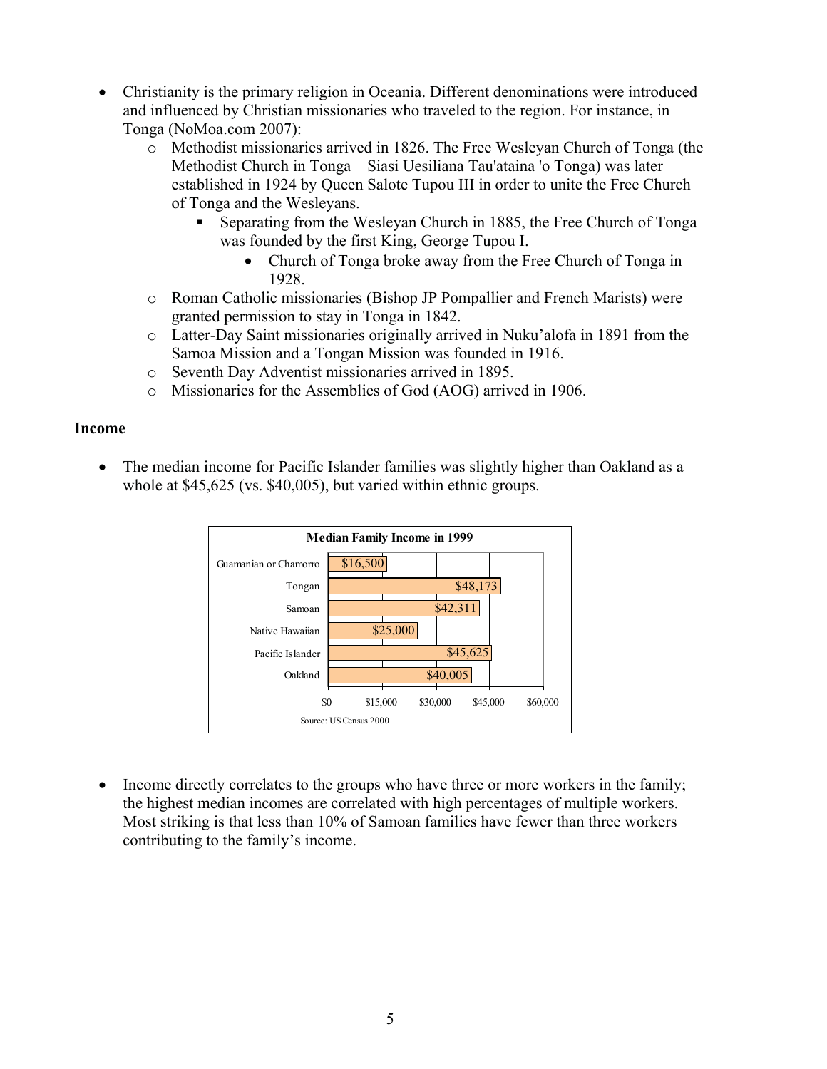- ! Christianity is the primary religion in Oceania. Different denominations were introduced and influenced by Christian missionaries who traveled to the region. For instance, in Tonga (NoMoa.com 2007):
	- o Methodist missionaries arrived in 1826. The Free Wesleyan Church of Tonga (the Methodist Church in Tonga—Siasi Uesiliana Tau'ataina 'o Tonga) was later established in 1924 by Queen Salote Tupou III in order to unite the Free Church of Tonga and the Wesleyans.
		- ! Separating from the Wesleyan Church in 1885, the Free Church of Tonga was founded by the first King, George Tupou I.
			- Church of Tonga broke away from the Free Church of Tonga in 1928.
	- o Roman Catholic missionaries (Bishop JP Pompallier and French Marists) were granted permission to stay in Tonga in 1842.
	- o Latter-Day Saint missionaries originally arrived in Nuku'alofa in 1891 from the Samoa Mission and a Tongan Mission was founded in 1916.
	- o Seventh Day Adventist missionaries arrived in 1895.
	- o Missionaries for the Assemblies of God (AOG) arrived in 1906.

### **Income**

! The median income for Pacific Islander families was slightly higher than Oakland as a whole at \$45,625 (vs. \$40,005), but varied within ethnic groups.



• Income directly correlates to the groups who have three or more workers in the family; the highest median incomes are correlated with high percentages of multiple workers. Most striking is that less than 10% of Samoan families have fewer than three workers contributing to the family's income.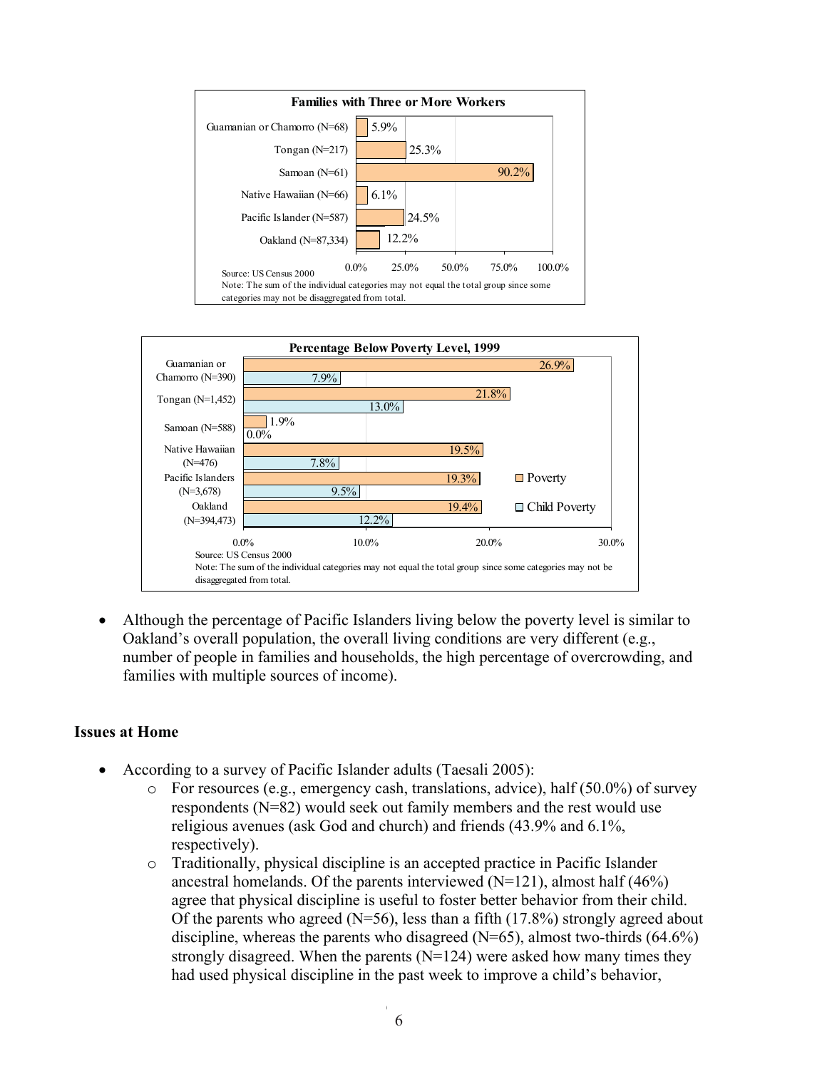



• Although the percentage of Pacific Islanders living below the poverty level is similar to Oakland's overall population, the overall living conditions are very different (e.g., number of people in families and households, the high percentage of overcrowding, and families with multiple sources of income).

#### **Issues at Home**

- ! According to a survey of Pacific Islander adults (Taesali 2005):
	- o For resources (e.g., emergency cash, translations, advice), half (50.0%) of survey respondents (N=82) would seek out family members and the rest would use religious avenues (ask God and church) and friends (43.9% and 6.1%, respectively).
	- o Traditionally, physical discipline is an accepted practice in Pacific Islander ancestral homelands. Of the parents interviewed  $(N=121)$ , almost half (46%) agree that physical discipline is useful to foster better behavior from their child. Of the parents who agreed ( $N=56$ ), less than a fifth (17.8%) strongly agreed about discipline, whereas the parents who disagreed  $(N=65)$ , almost two-thirds  $(64.6\%)$ strongly disagreed. When the parents  $(N=124)$  were asked how many times they had used physical discipline in the past week to improve a child's behavior,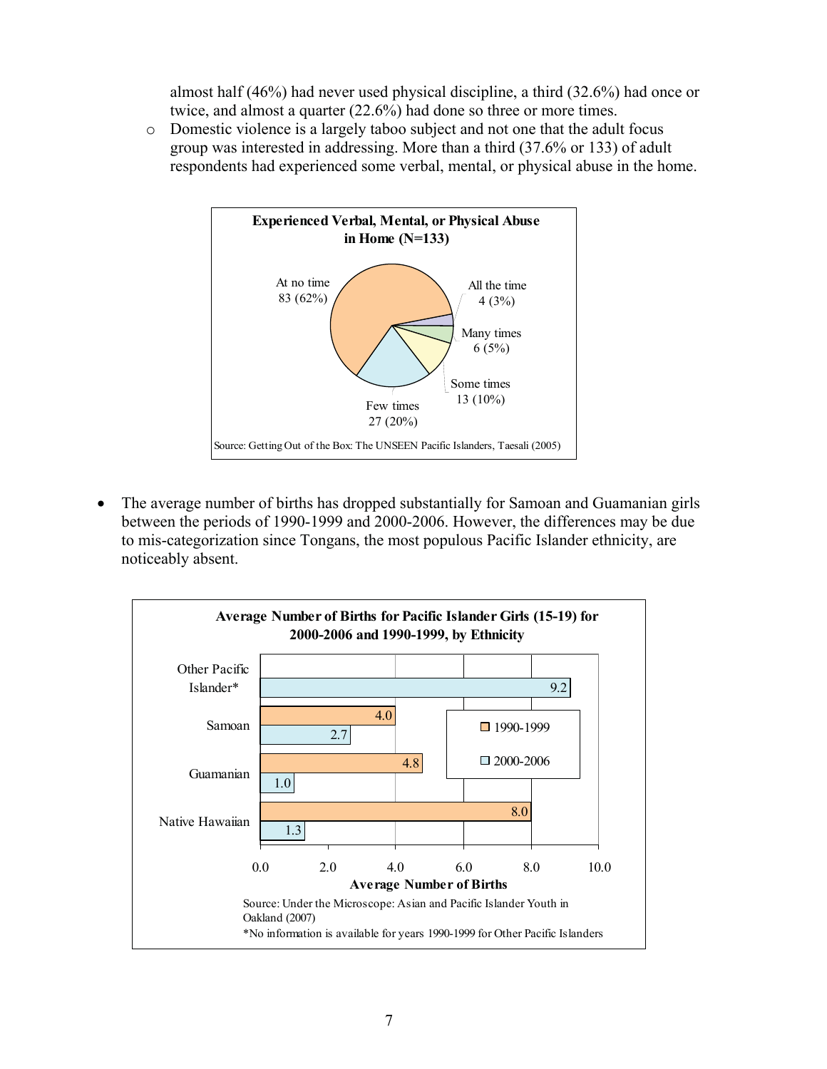almost half (46%) had never used physical discipline, a third (32.6%) had once or twice, and almost a quarter (22.6%) had done so three or more times.

o Domestic violence is a largely taboo subject and not one that the adult focus group was interested in addressing. More than a third (37.6% or 133) of adult respondents had experienced some verbal, mental, or physical abuse in the home.



• The average number of births has dropped substantially for Samoan and Guamanian girls between the periods of 1990-1999 and 2000-2006. However, the differences may be due to mis-categorization since Tongans, the most populous Pacific Islander ethnicity, are noticeably absent.

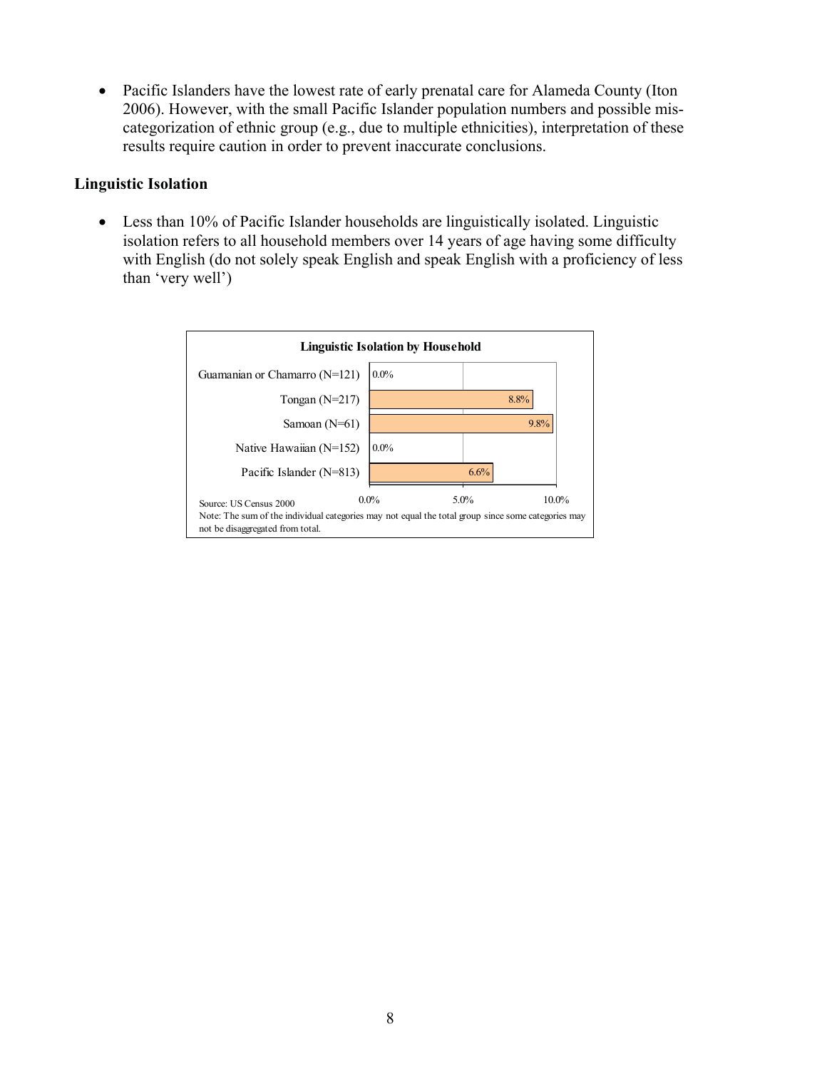• Pacific Islanders have the lowest rate of early prenatal care for Alameda County (Iton 2006). However, with the small Pacific Islander population numbers and possible miscategorization of ethnic group (e.g., due to multiple ethnicities), interpretation of these results require caution in order to prevent inaccurate conclusions.

### **Linguistic Isolation**

• Less than 10% of Pacific Islander households are linguistically isolated. Linguistic isolation refers to all household members over 14 years of age having some difficulty with English (do not solely speak English and speak English with a proficiency of less than 'very well')

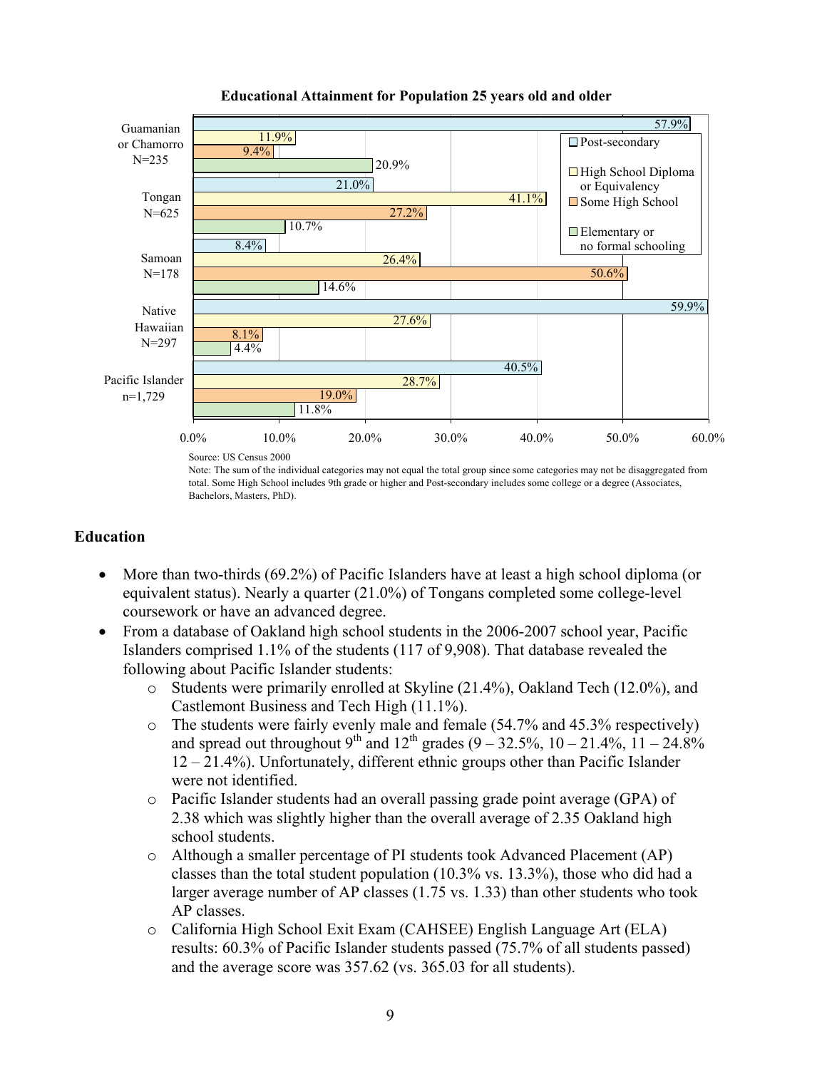

#### **Educational Attainment for Population 25 years old and older**

Source: US Census 2000

Note: The sum of the individual categories may not equal the total group since some categories may not be disaggregated from total. Some High School includes 9th grade or higher and Post-secondary includes some college or a degree (Associates, Bachelors, Masters, PhD).

## **Education**

- More than two-thirds (69.2%) of Pacific Islanders have at least a high school diploma (or equivalent status). Nearly a quarter (21.0%) of Tongans completed some college-level coursework or have an advanced degree.
- From a database of Oakland high school students in the 2006-2007 school year, Pacific Islanders comprised 1.1% of the students (117 of 9,908). That database revealed the following about Pacific Islander students:
	- o Students were primarily enrolled at Skyline (21.4%), Oakland Tech (12.0%), and Castlemont Business and Tech High (11.1%).
	- o The students were fairly evenly male and female (54.7% and 45.3% respectively) and spread out throughout 9<sup>th</sup> and 12<sup>th</sup> grades  $(9 - 32.5\%, 10 - 21.4\%, 11 - 24.8\%$ 12 – 21.4%). Unfortunately, different ethnic groups other than Pacific Islander were not identified.
	- o Pacific Islander students had an overall passing grade point average (GPA) of 2.38 which was slightly higher than the overall average of 2.35 Oakland high school students.
	- o Although a smaller percentage of PI students took Advanced Placement (AP) classes than the total student population (10.3% vs. 13.3%), those who did had a larger average number of AP classes (1.75 vs. 1.33) than other students who took AP classes.
	- o California High School Exit Exam (CAHSEE) English Language Art (ELA) results: 60.3% of Pacific Islander students passed (75.7% of all students passed) and the average score was 357.62 (vs. 365.03 for all students).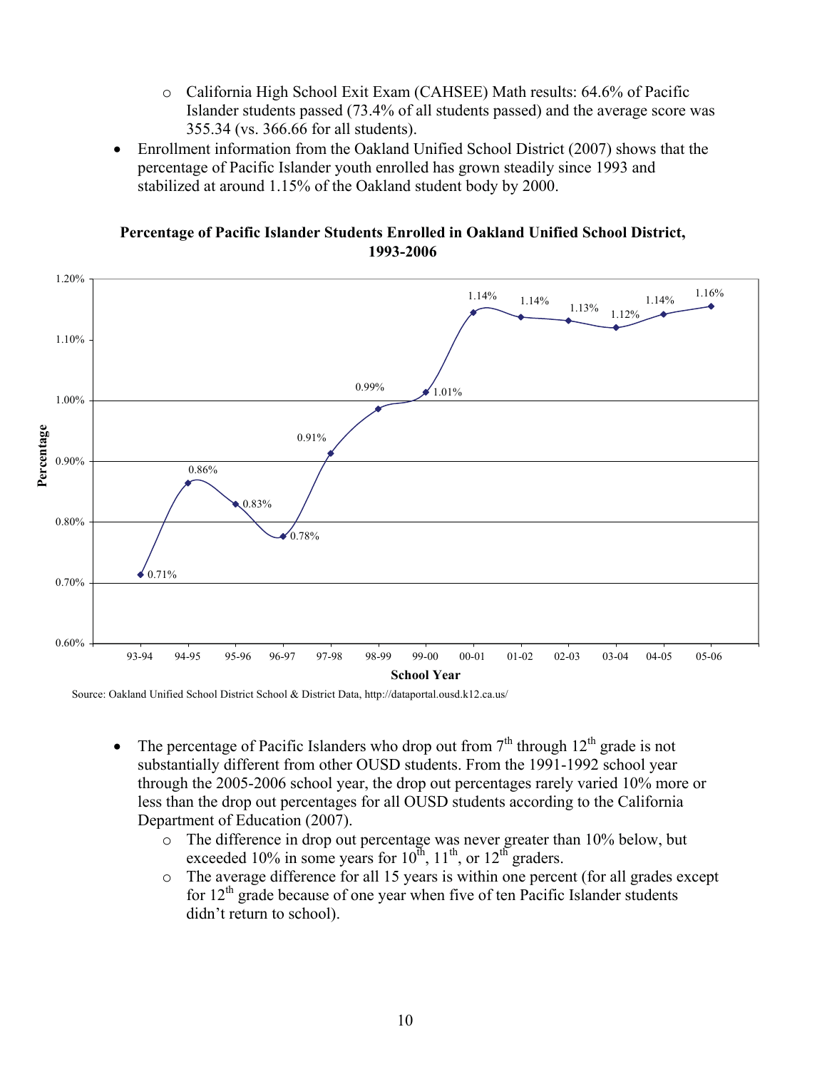- o California High School Exit Exam (CAHSEE) Math results: 64.6% of Pacific Islander students passed (73.4% of all students passed) and the average score was 355.34 (vs. 366.66 for all students).
- Enrollment information from the Oakland Unified School District (2007) shows that the percentage of Pacific Islander youth enrolled has grown steadily since 1993 and stabilized at around 1.15% of the Oakland student body by 2000.

1.20%  $1.14\%$   $1.16\%$  $\begin{array}{|c|c|c|c|c|}\n\hline\n & 1.14\% & 1.13\% & 1.12\% \hline\n\end{array}$ 1.10% 0.99% 1.01% 1.00% Percentage **Percentage** 0.91% 0.90% 0.86% 0.83% 0.80%  $0.78%$  $\big\downarrow 0.71\%$ 0.70% 0.60% 93-94 94-95 95-96 96-97 97-98 98-99 99-00 00-01 01-02 02-03 03-04 04-05 05-06 93-94 94-95 95-96 96-97 97-98 98-99 99-00 00-01 01-02 02-03 03-04 04-05 05-06 **School Year**

**Percentage of Pacific Islander Students Enrolled in Oakland Unified School District, 1993-2006**

Source: Oakland Unified School District School & District Data, http://dataportal.ousd.k12.ca.us/

- The percentage of Pacific Islanders who drop out from  $7<sup>th</sup>$  through  $12<sup>th</sup>$  grade is not substantially different from other OUSD students. From the 1991-1992 school year through the 2005-2006 school year, the drop out percentages rarely varied 10% more or less than the drop out percentages for all OUSD students according to the California Department of Education (2007).
	- o The difference in drop out percentage was never greater than 10% below, but exceeded 10% in some years for  $10^{th}$ ,  $11^{th}$ , or  $12^{th}$  graders.
	- o The average difference for all 15 years is within one percent (for all grades except for  $12<sup>th</sup>$  grade because of one year when five of ten Pacific Islander students didn't return to school).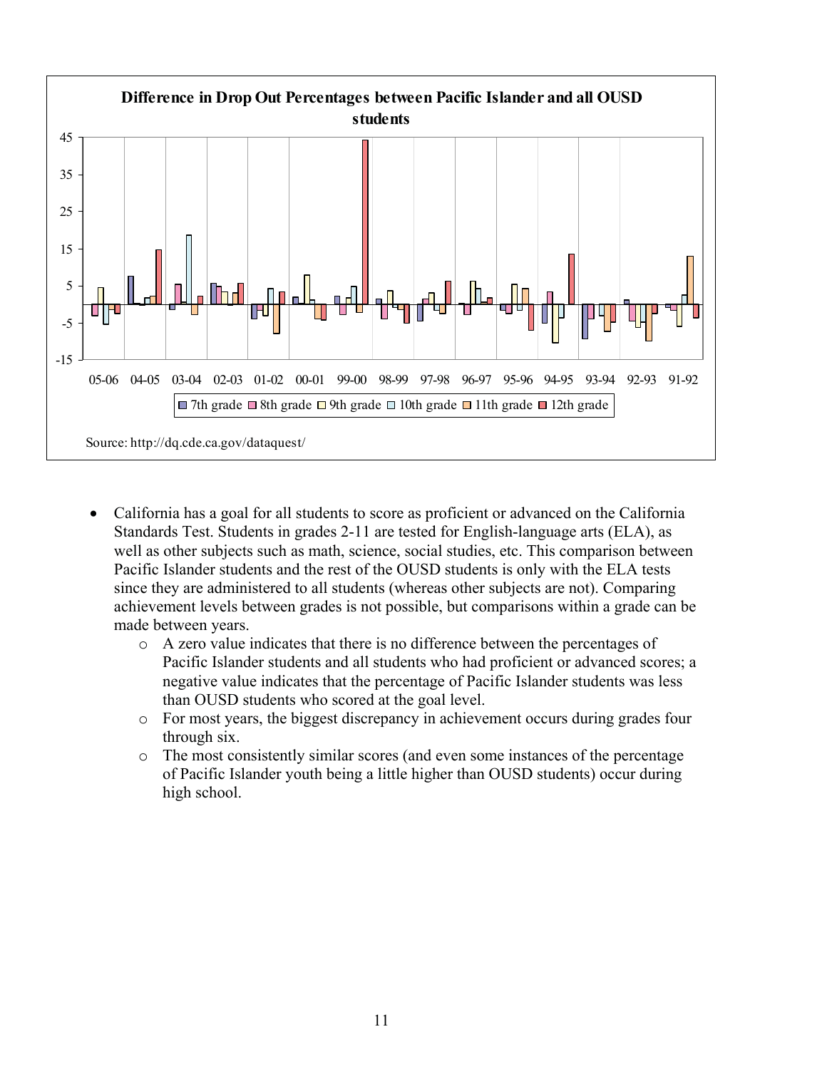

- California has a goal for all students to score as proficient or advanced on the California Standards Test. Students in grades 2-11 are tested for English-language arts (ELA), as well as other subjects such as math, science, social studies, etc. This comparison between Pacific Islander students and the rest of the OUSD students is only with the ELA tests since they are administered to all students (whereas other subjects are not). Comparing achievement levels between grades is not possible, but comparisons within a grade can be made between years.
	- o A zero value indicates that there is no difference between the percentages of Pacific Islander students and all students who had proficient or advanced scores; a negative value indicates that the percentage of Pacific Islander students was less than OUSD students who scored at the goal level.
	- o For most years, the biggest discrepancy in achievement occurs during grades four through six.
	- o The most consistently similar scores (and even some instances of the percentage of Pacific Islander youth being a little higher than OUSD students) occur during high school.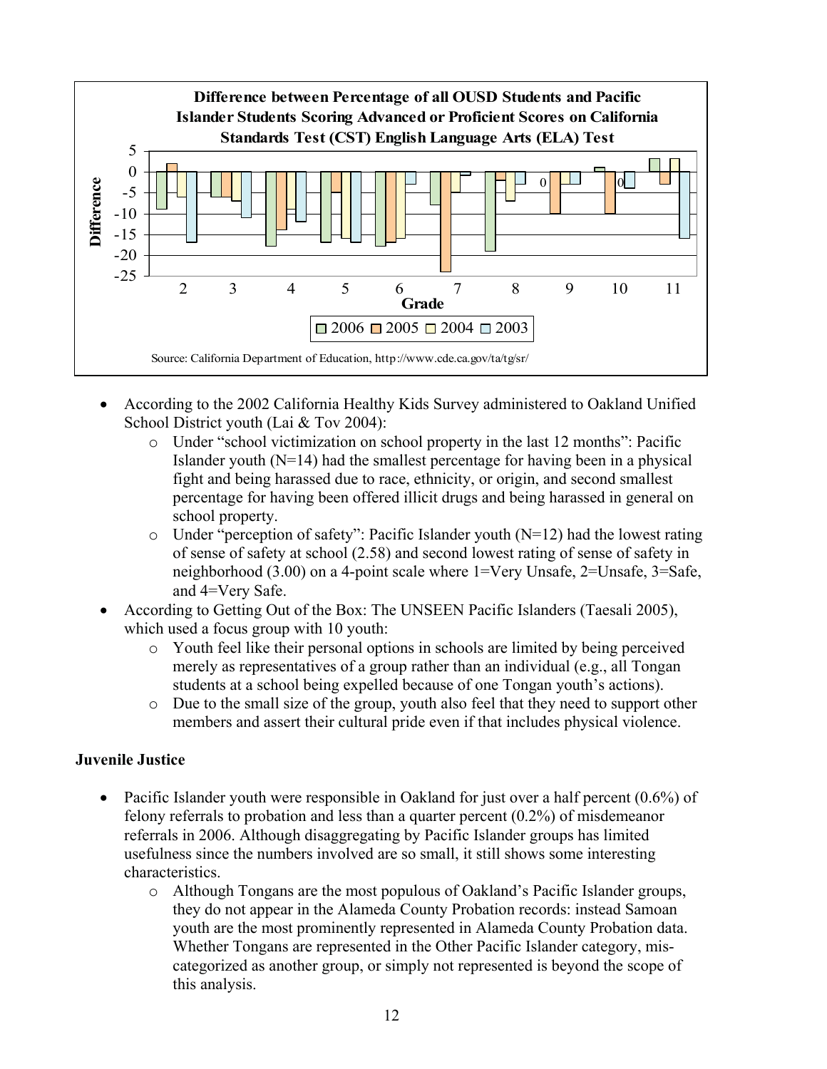

- ! According to the 2002 California Healthy Kids Survey administered to Oakland Unified School District youth (Lai & Tov 2004):
	- o Under "school victimization on school property in the last 12 months": Pacific Islander youth (N=14) had the smallest percentage for having been in a physical fight and being harassed due to race, ethnicity, or origin, and second smallest percentage for having been offered illicit drugs and being harassed in general on school property.
	- $\circ$  Under "perception of safety": Pacific Islander youth (N=12) had the lowest rating of sense of safety at school (2.58) and second lowest rating of sense of safety in neighborhood (3.00) on a 4-point scale where 1=Very Unsafe, 2=Unsafe, 3=Safe, and 4=Very Safe.
- ! According to Getting Out of the Box: The UNSEEN Pacific Islanders (Taesali 2005), which used a focus group with 10 youth:
	- o Youth feel like their personal options in schools are limited by being perceived merely as representatives of a group rather than an individual (e.g., all Tongan students at a school being expelled because of one Tongan youth's actions).
	- o Due to the small size of the group, youth also feel that they need to support other members and assert their cultural pride even if that includes physical violence.

## **Juvenile Justice**

- Pacific Islander youth were responsible in Oakland for just over a half percent  $(0.6\%)$  of felony referrals to probation and less than a quarter percent (0.2%) of misdemeanor referrals in 2006. Although disaggregating by Pacific Islander groups has limited usefulness since the numbers involved are so small, it still shows some interesting characteristics.
	- o Although Tongans are the most populous of Oakland's Pacific Islander groups, they do not appear in the Alameda County Probation records: instead Samoan youth are the most prominently represented in Alameda County Probation data. Whether Tongans are represented in the Other Pacific Islander category, miscategorized as another group, or simply not represented is beyond the scope of this analysis.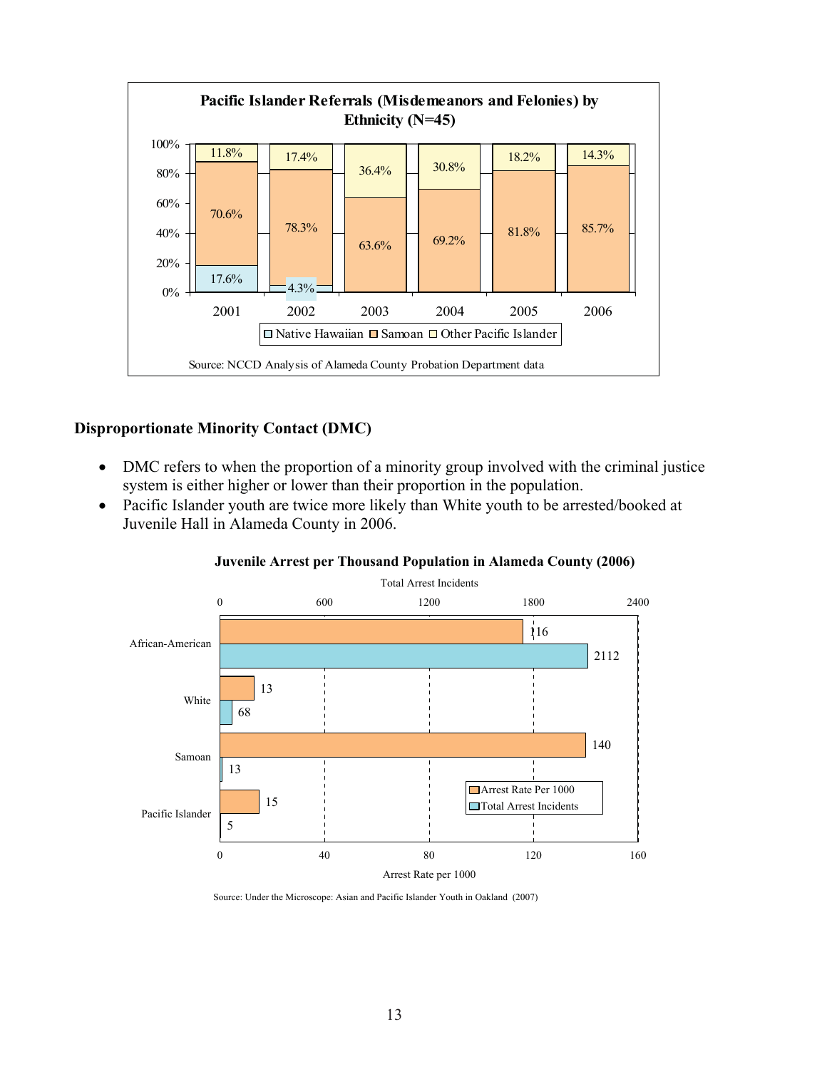

# **Disproportionate Minority Contact (DMC)**

- DMC refers to when the proportion of a minority group involved with the criminal justice system is either higher or lower than their proportion in the population.
- Pacific Islander youth are twice more likely than White youth to be arrested/booked at Juvenile Hall in Alameda County in 2006.



#### **Juvenile Arrest per Thousand Population in Alameda County (2006)**

Source: Under the Microscope: Asian and Pacific Islander Youth in Oakland (2007)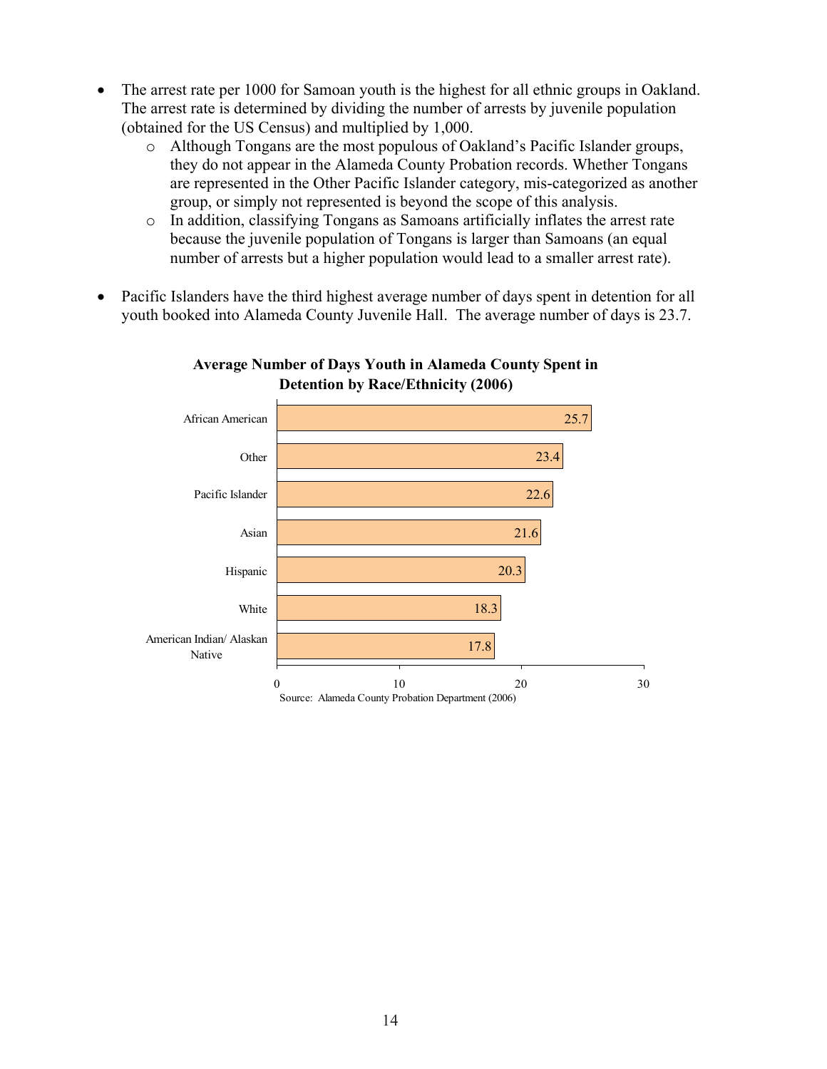- ! The arrest rate per 1000 for Samoan youth is the highest for all ethnic groups in Oakland. The arrest rate is determined by dividing the number of arrests by juvenile population (obtained for the US Census) and multiplied by 1,000.
	- o Although Tongans are the most populous of Oakland's Pacific Islander groups, they do not appear in the Alameda County Probation records. Whether Tongans are represented in the Other Pacific Islander category, mis-categorized as another group, or simply not represented is beyond the scope of this analysis.
	- o In addition, classifying Tongans as Samoans artificially inflates the arrest rate because the juvenile population of Tongans is larger than Samoans (an equal number of arrests but a higher population would lead to a smaller arrest rate).
- ! Pacific Islanders have the third highest average number of days spent in detention for all youth booked into Alameda County Juvenile Hall. The average number of days is 23.7.



**Average Number of Days Youth in Alameda County Spent in Detention by Race/Ethnicity (2006)**